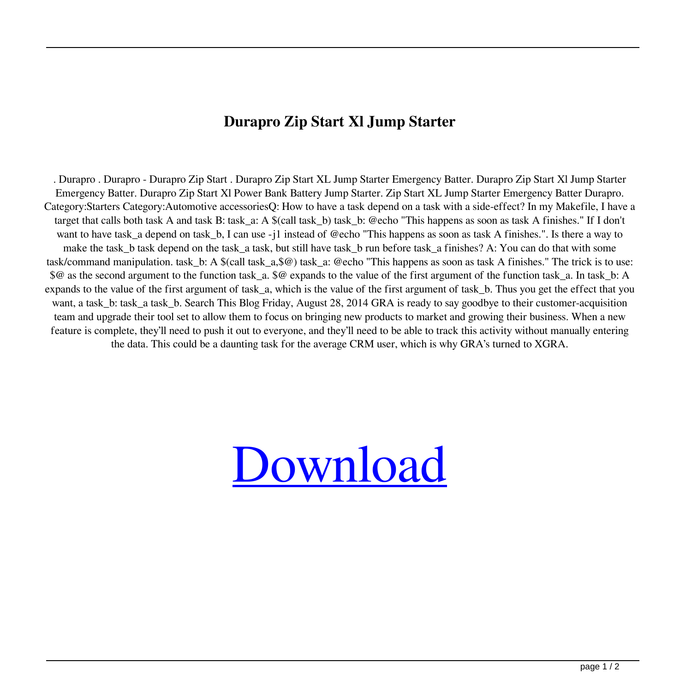## **Durapro Zip Start Xl Jump Starter**

. Durapro . Durapro - Durapro Zip Start . Durapro Zip Start XL Jump Starter Emergency Batter. Durapro Zip Start Xl Jump Starter Emergency Batter. Durapro Zip Start Xl Power Bank Battery Jump Starter. Zip Start XL Jump Starter Emergency Batter Durapro. Category:Starters Category:Automotive accessoriesQ: How to have a task depend on a task with a side-effect? In my Makefile, I have a target that calls both task A and task B: task\_a: A \$(call task\_b) task\_b: @echo "This happens as soon as task A finishes." If I don't want to have task\_a depend on task\_b, I can use -j1 instead of @echo "This happens as soon as task A finishes.". Is there a way to make the task\_b task depend on the task\_a task, but still have task\_b run before task\_a finishes? A: You can do that with some task/command manipulation. task\_b: A \$(call task\_a,\$@) task\_a: @echo "This happens as soon as task A finishes." The trick is to use: \$@ as the second argument to the function task a. \$@ expands to the value of the first argument of the function task a. In task b: A expands to the value of the first argument of task\_a, which is the value of the first argument of task\_b. Thus you get the effect that you want, a task\_b: task\_a task\_b. Search This Blog Friday, August 28, 2014 GRA is ready to say goodbye to their customer-acquisition team and upgrade their tool set to allow them to focus on bringing new products to market and growing their business. When a new feature is complete, they'll need to push it out to everyone, and they'll need to be able to track this activity without manually entering the data. This could be a daunting task for the average CRM user, which is why GRA's turned to XGRA.